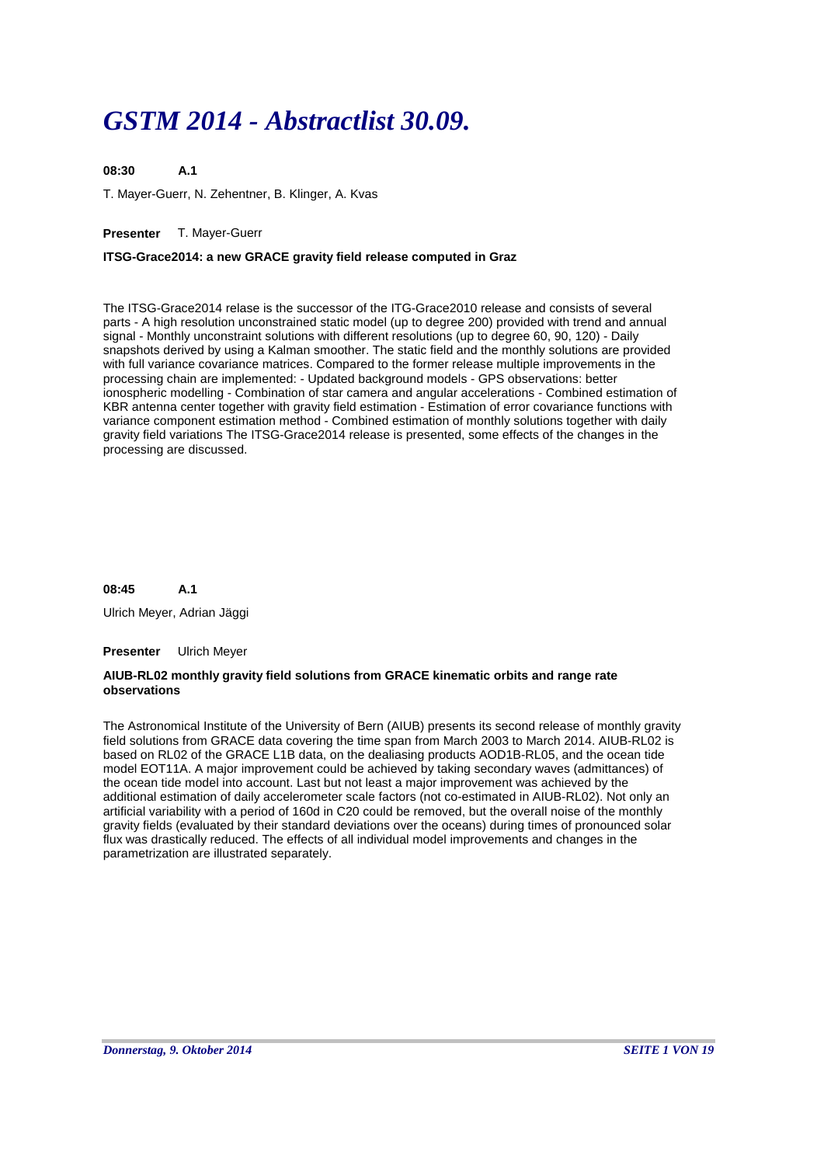# *GSTM 2014 - Abstractlist 30.09.*

**A.1** T. Mayer-Guerr, N. Zehentner, B. Klinger, A. Kvas **08:30**

# **Presenter** T. Mayer-Guerr

# **ITSG-Grace2014: a new GRACE gravity field release computed in Graz**

The ITSG-Grace2014 relase is the successor of the ITG-Grace2010 release and consists of several parts - A high resolution unconstrained static model (up to degree 200) provided with trend and annual signal - Monthly unconstraint solutions with different resolutions (up to degree 60, 90, 120) - Daily snapshots derived by using a Kalman smoother. The static field and the monthly solutions are provided with full variance covariance matrices. Compared to the former release multiple improvements in the processing chain are implemented: - Updated background models - GPS observations: better ionospheric modelling - Combination of star camera and angular accelerations - Combined estimation of KBR antenna center together with gravity field estimation - Estimation of error covariance functions with variance component estimation method - Combined estimation of monthly solutions together with daily gravity field variations The ITSG-Grace2014 release is presented, some effects of the changes in the processing are discussed.

#### **A.1 08:45**

Ulrich Meyer, Adrian Jäggi

### **Presenter** Ulrich Meyer

### **AIUB-RL02 monthly gravity field solutions from GRACE kinematic orbits and range rate observations**

The Astronomical Institute of the University of Bern (AIUB) presents its second release of monthly gravity field solutions from GRACE data covering the time span from March 2003 to March 2014. AIUB-RL02 is based on RL02 of the GRACE L1B data, on the dealiasing products AOD1B-RL05, and the ocean tide model EOT11A. A major improvement could be achieved by taking secondary waves (admittances) of the ocean tide model into account. Last but not least a major improvement was achieved by the additional estimation of daily accelerometer scale factors (not co-estimated in AIUB-RL02). Not only an artificial variability with a period of 160d in C20 could be removed, but the overall noise of the monthly gravity fields (evaluated by their standard deviations over the oceans) during times of pronounced solar flux was drastically reduced. The effects of all individual model improvements and changes in the parametrization are illustrated separately.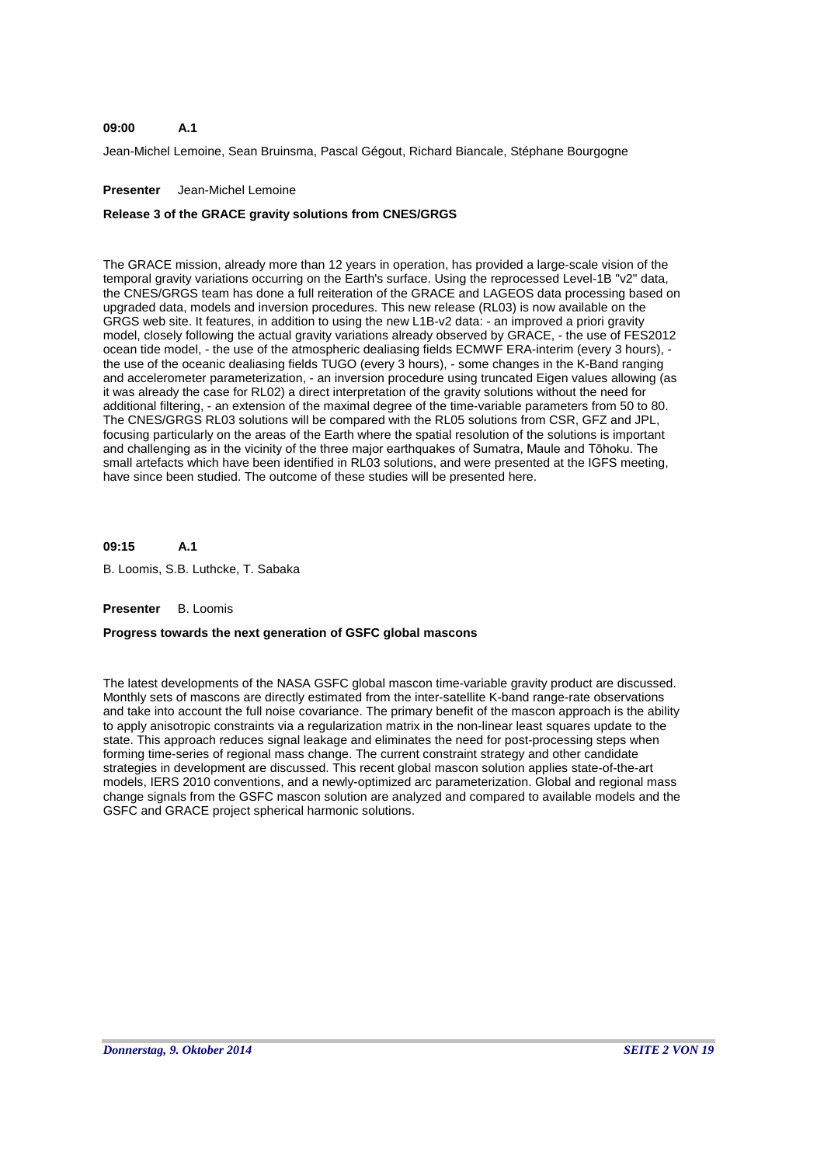#### **A.1 09:00**

Jean-Michel Lemoine, Sean Bruinsma, Pascal Gégout, Richard Biancale, Stéphane Bourgogne

### **Presenter** Jean-Michel Lemoine

# **Release 3 of the GRACE gravity solutions from CNES/GRGS**

The GRACE mission, already more than 12 years in operation, has provided a large-scale vision of the temporal gravity variations occurring on the Earth's surface. Using the reprocessed Level-1B "v2" data, the CNES/GRGS team has done a full reiteration of the GRACE and LAGEOS data processing based on upgraded data, models and inversion procedures. This new release (RL03) is now available on the GRGS web site. It features, in addition to using the new L1B-v2 data: - an improved a priori gravity model, closely following the actual gravity variations already observed by GRACE, - the use of FES2012 ocean tide model, - the use of the atmospheric dealiasing fields ECMWF ERA-interim (every 3 hours), the use of the oceanic dealiasing fields TUGO (every 3 hours), - some changes in the K-Band ranging and accelerometer parameterization, - an inversion procedure using truncated Eigen values allowing (as it was already the case for RL02) a direct interpretation of the gravity solutions without the need for additional filtering, - an extension of the maximal degree of the time-variable parameters from 50 to 80. The CNES/GRGS RL03 solutions will be compared with the RL05 solutions from CSR, GFZ and JPL, focusing particularly on the areas of the Earth where the spatial resolution of the solutions is important and challenging as in the vicinity of the three major earthquakes of Sumatra, Maule and Tōhoku. The small artefacts which have been identified in RL03 solutions, and were presented at the IGFS meeting, have since been studied. The outcome of these studies will be presented here.

#### **A.1 09:15**

B. Loomis, S.B. Luthcke, T. Sabaka

### **Presenter** B. Loomis

### **Progress towards the next generation of GSFC global mascons**

The latest developments of the NASA GSFC global mascon time-variable gravity product are discussed. Monthly sets of mascons are directly estimated from the inter-satellite K-band range-rate observations and take into account the full noise covariance. The primary benefit of the mascon approach is the ability to apply anisotropic constraints via a regularization matrix in the non-linear least squares update to the state. This approach reduces signal leakage and eliminates the need for post-processing steps when forming time-series of regional mass change. The current constraint strategy and other candidate strategies in development are discussed. This recent global mascon solution applies state-of-the-art models, IERS 2010 conventions, and a newly-optimized arc parameterization. Global and regional mass change signals from the GSFC mascon solution are analyzed and compared to available models and the GSFC and GRACE project spherical harmonic solutions.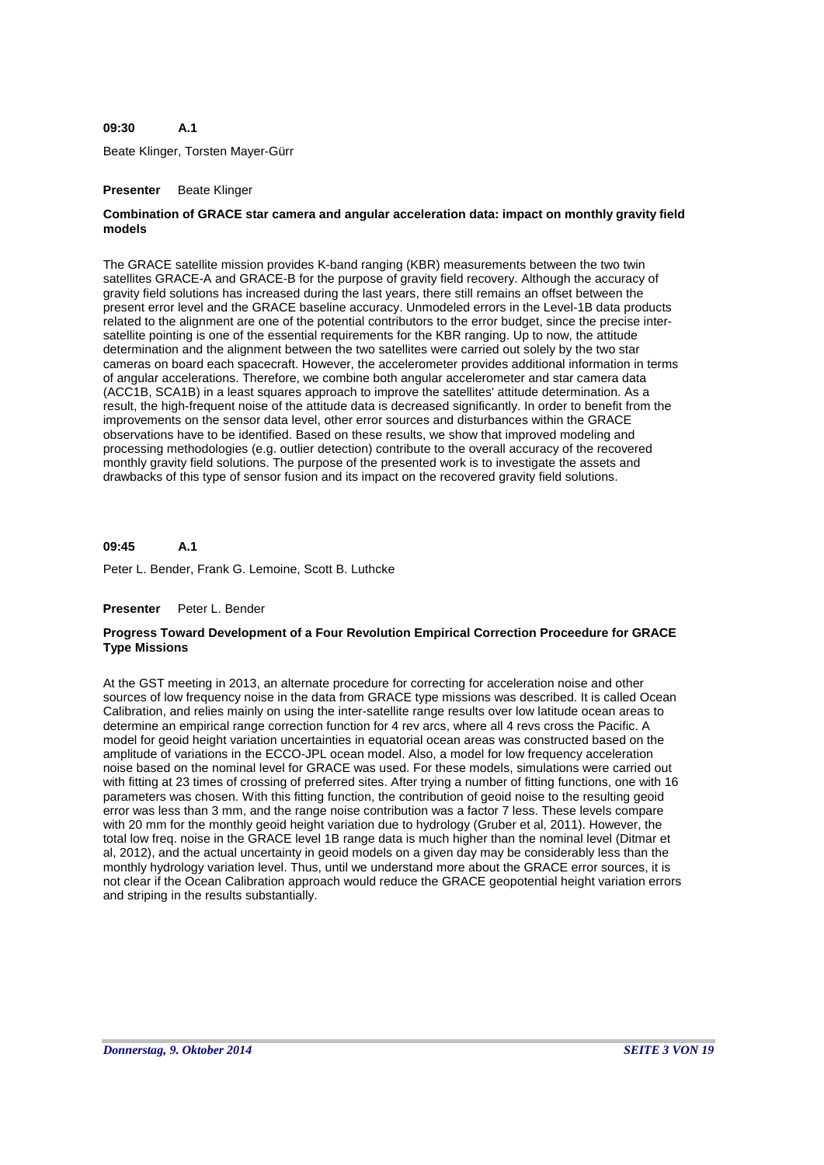#### **A.1 09:30**

Beate Klinger, Torsten Mayer-Gürr

### **Presenter** Beate Klinger

### **Combination of GRACE star camera and angular acceleration data: impact on monthly gravity field models**

The GRACE satellite mission provides K-band ranging (KBR) measurements between the two twin satellites GRACE-A and GRACE-B for the purpose of gravity field recovery. Although the accuracy of gravity field solutions has increased during the last years, there still remains an offset between the present error level and the GRACE baseline accuracy. Unmodeled errors in the Level-1B data products related to the alignment are one of the potential contributors to the error budget, since the precise intersatellite pointing is one of the essential requirements for the KBR ranging. Up to now, the attitude determination and the alignment between the two satellites were carried out solely by the two star cameras on board each spacecraft. However, the accelerometer provides additional information in terms of angular accelerations. Therefore, we combine both angular accelerometer and star camera data (ACC1B, SCA1B) in a least squares approach to improve the satellites' attitude determination. As a result, the high-frequent noise of the attitude data is decreased significantly. In order to benefit from the improvements on the sensor data level, other error sources and disturbances within the GRACE observations have to be identified. Based on these results, we show that improved modeling and processing methodologies (e.g. outlier detection) contribute to the overall accuracy of the recovered monthly gravity field solutions. The purpose of the presented work is to investigate the assets and drawbacks of this type of sensor fusion and its impact on the recovered gravity field solutions.

#### **A.1 09:45**

Peter L. Bender, Frank G. Lemoine, Scott B. Luthcke

### **Presenter** Peter L. Bender

### **Progress Toward Development of a Four Revolution Empirical Correction Proceedure for GRACE Type Missions**

At the GST meeting in 2013, an alternate procedure for correcting for acceleration noise and other sources of low frequency noise in the data from GRACE type missions was described. It is called Ocean Calibration, and relies mainly on using the inter-satellite range results over low latitude ocean areas to determine an empirical range correction function for 4 rev arcs, where all 4 revs cross the Pacific. A model for geoid height variation uncertainties in equatorial ocean areas was constructed based on the amplitude of variations in the ECCO-JPL ocean model. Also, a model for low frequency acceleration noise based on the nominal level for GRACE was used. For these models, simulations were carried out with fitting at 23 times of crossing of preferred sites. After trying a number of fitting functions, one with 16 parameters was chosen. With this fitting function, the contribution of geoid noise to the resulting geoid error was less than 3 mm, and the range noise contribution was a factor 7 less. These levels compare with 20 mm for the monthly geoid height variation due to hydrology (Gruber et al, 2011). However, the total low freq. noise in the GRACE level 1B range data is much higher than the nominal level (Ditmar et al, 2012), and the actual uncertainty in geoid models on a given day may be considerably less than the monthly hydrology variation level. Thus, until we understand more about the GRACE error sources, it is not clear if the Ocean Calibration approach would reduce the GRACE geopotential height variation errors and striping in the results substantially.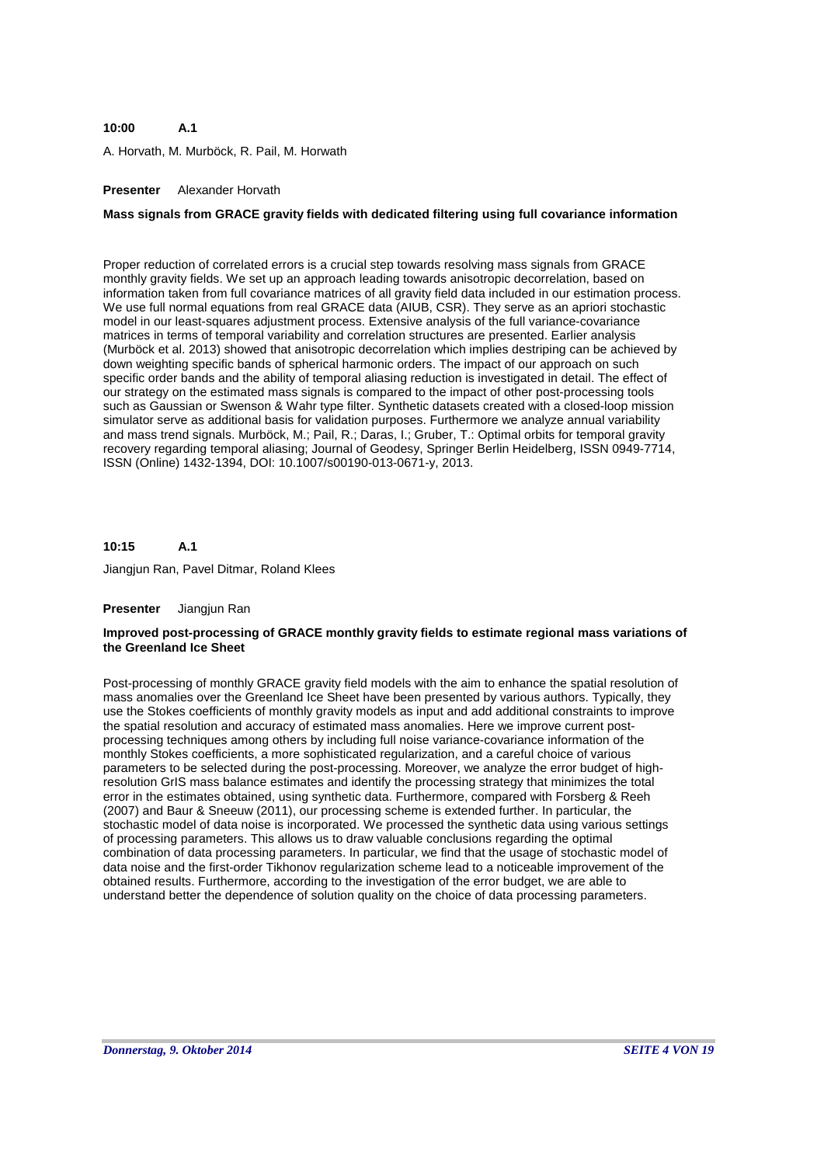#### **A.1 10:00**

A. Horvath, M. Murböck, R. Pail, M. Horwath

# **Presenter** Alexander Horvath

# **Mass signals from GRACE gravity fields with dedicated filtering using full covariance information**

Proper reduction of correlated errors is a crucial step towards resolving mass signals from GRACE monthly gravity fields. We set up an approach leading towards anisotropic decorrelation, based on information taken from full covariance matrices of all gravity field data included in our estimation process. We use full normal equations from real GRACE data (AIUB, CSR). They serve as an apriori stochastic model in our least-squares adjustment process. Extensive analysis of the full variance-covariance matrices in terms of temporal variability and correlation structures are presented. Earlier analysis (Murböck et al. 2013) showed that anisotropic decorrelation which implies destriping can be achieved by down weighting specific bands of spherical harmonic orders. The impact of our approach on such specific order bands and the ability of temporal aliasing reduction is investigated in detail. The effect of our strategy on the estimated mass signals is compared to the impact of other post-processing tools such as Gaussian or Swenson & Wahr type filter. Synthetic datasets created with a closed-loop mission simulator serve as additional basis for validation purposes. Furthermore we analyze annual variability and mass trend signals. Murböck, M.; Pail, R.; Daras, I.; Gruber, T.: Optimal orbits for temporal gravity recovery regarding temporal aliasing; Journal of Geodesy, Springer Berlin Heidelberg, ISSN 0949-7714, ISSN (Online) 1432-1394, DOI: 10.1007/s00190-013-0671-y, 2013.

#### **A.1 10:15**

Jiangjun Ran, Pavel Ditmar, Roland Klees

### **Presenter** Jiangjun Ran

### **Improved post-processing of GRACE monthly gravity fields to estimate regional mass variations of the Greenland Ice Sheet**

Post-processing of monthly GRACE gravity field models with the aim to enhance the spatial resolution of mass anomalies over the Greenland Ice Sheet have been presented by various authors. Typically, they use the Stokes coefficients of monthly gravity models as input and add additional constraints to improve the spatial resolution and accuracy of estimated mass anomalies. Here we improve current postprocessing techniques among others by including full noise variance-covariance information of the monthly Stokes coefficients, a more sophisticated regularization, and a careful choice of various parameters to be selected during the post-processing. Moreover, we analyze the error budget of highresolution GrIS mass balance estimates and identify the processing strategy that minimizes the total error in the estimates obtained, using synthetic data. Furthermore, compared with Forsberg & Reeh (2007) and Baur & Sneeuw (2011), our processing scheme is extended further. In particular, the stochastic model of data noise is incorporated. We processed the synthetic data using various settings of processing parameters. This allows us to draw valuable conclusions regarding the optimal combination of data processing parameters. In particular, we find that the usage of stochastic model of data noise and the first-order Tikhonov regularization scheme lead to a noticeable improvement of the obtained results. Furthermore, according to the investigation of the error budget, we are able to understand better the dependence of solution quality on the choice of data processing parameters.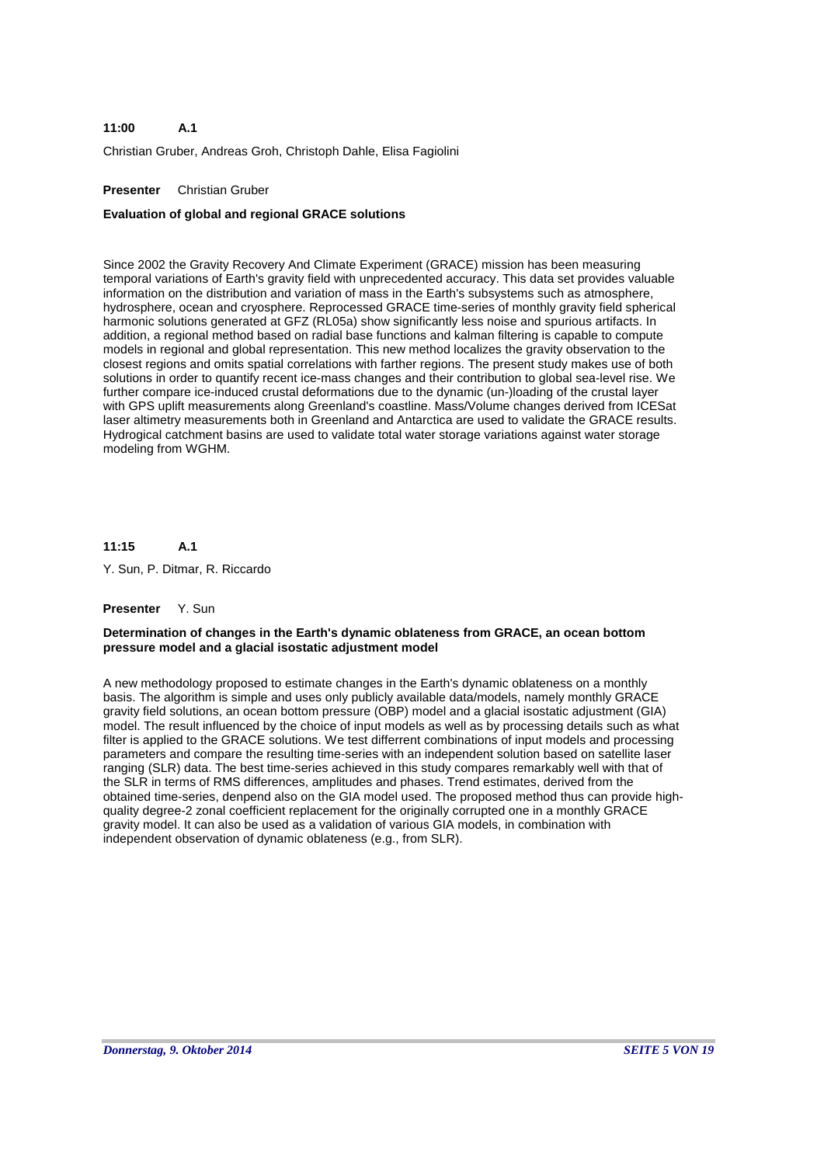#### **A.1 11:00**

Christian Gruber, Andreas Groh, Christoph Dahle, Elisa Fagiolini

# **Presenter** Christian Gruber

### **Evaluation of global and regional GRACE solutions**

Since 2002 the Gravity Recovery And Climate Experiment (GRACE) mission has been measuring temporal variations of Earth's gravity field with unprecedented accuracy. This data set provides valuable information on the distribution and variation of mass in the Earth's subsystems such as atmosphere, hydrosphere, ocean and cryosphere. Reprocessed GRACE time-series of monthly gravity field spherical harmonic solutions generated at GFZ (RL05a) show significantly less noise and spurious artifacts. In addition, a regional method based on radial base functions and kalman filtering is capable to compute models in regional and global representation. This new method localizes the gravity observation to the closest regions and omits spatial correlations with farther regions. The present study makes use of both solutions in order to quantify recent ice-mass changes and their contribution to global sea-level rise. We further compare ice-induced crustal deformations due to the dynamic (un-)loading of the crustal layer with GPS uplift measurements along Greenland's coastline. Mass/Volume changes derived from ICESat laser altimetry measurements both in Greenland and Antarctica are used to validate the GRACE results. Hydrogical catchment basins are used to validate total water storage variations against water storage modeling from WGHM.

#### **A.1 11:15**

Y. Sun, P. Ditmar, R. Riccardo

### **Presenter** Y. Sun

### **Determination of changes in the Earth's dynamic oblateness from GRACE, an ocean bottom pressure model and a glacial isostatic adjustment model**

A new methodology proposed to estimate changes in the Earth's dynamic oblateness on a monthly basis. The algorithm is simple and uses only publicly available data/models, namely monthly GRACE gravity field solutions, an ocean bottom pressure (OBP) model and a glacial isostatic adjustment (GIA) model. The result influenced by the choice of input models as well as by processing details such as what filter is applied to the GRACE solutions. We test differrent combinations of input models and processing parameters and compare the resulting time-series with an independent solution based on satellite laser ranging (SLR) data. The best time-series achieved in this study compares remarkably well with that of the SLR in terms of RMS differences, amplitudes and phases. Trend estimates, derived from the obtained time-series, denpend also on the GIA model used. The proposed method thus can provide highquality degree-2 zonal coefficient replacement for the originally corrupted one in a monthly GRACE gravity model. It can also be used as a validation of various GIA models, in combination with independent observation of dynamic oblateness (e.g., from SLR).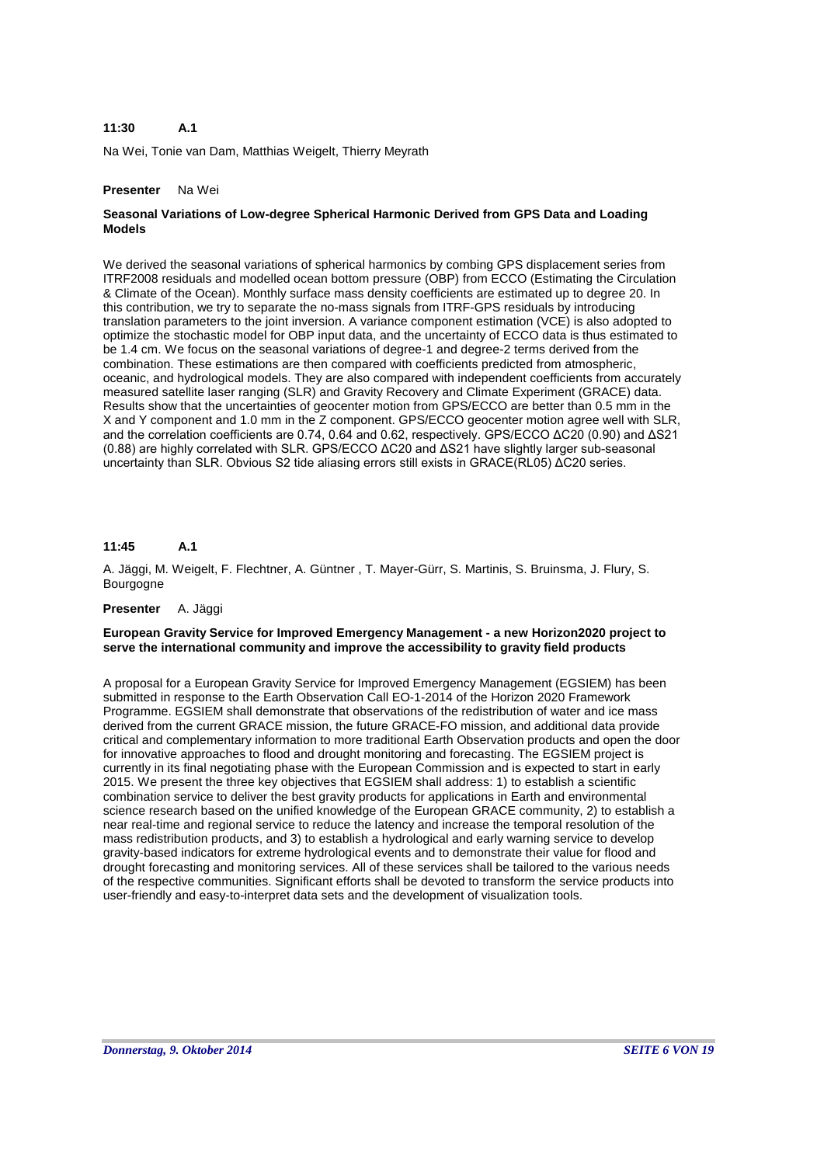#### **A.1 11:30**

Na Wei, Tonie van Dam, Matthias Weigelt, Thierry Meyrath

### **Presenter** Na Wei

# **Seasonal Variations of Low-degree Spherical Harmonic Derived from GPS Data and Loading Models**

We derived the seasonal variations of spherical harmonics by combing GPS displacement series from ITRF2008 residuals and modelled ocean bottom pressure (OBP) from ECCO (Estimating the Circulation & Climate of the Ocean). Monthly surface mass density coefficients are estimated up to degree 20. In this contribution, we try to separate the no-mass signals from ITRF-GPS residuals by introducing translation parameters to the joint inversion. A variance component estimation (VCE) is also adopted to optimize the stochastic model for OBP input data, and the uncertainty of ECCO data is thus estimated to be 1.4 cm. We focus on the seasonal variations of degree-1 and degree-2 terms derived from the combination. These estimations are then compared with coefficients predicted from atmospheric, oceanic, and hydrological models. They are also compared with independent coefficients from accurately measured satellite laser ranging (SLR) and Gravity Recovery and Climate Experiment (GRACE) data. Results show that the uncertainties of geocenter motion from GPS/ECCO are better than 0.5 mm in the X and Y component and 1.0 mm in the Z component. GPS/ECCO geocenter motion agree well with SLR, and the correlation coefficients are 0.74, 0.64 and 0.62, respectively. GPS/ECCO ΔC20 (0.90) and ΔS21 (0.88) are highly correlated with SLR. GPS/ECCO ΔC20 and ΔS21 have slightly larger sub-seasonal uncertainty than SLR. Obvious S2 tide aliasing errors still exists in GRACE(RL05) ΔC20 series.

#### **A.1 11:45**

A. Jäggi, M. Weigelt, F. Flechtner, A. Güntner , T. Mayer-Gürr, S. Martinis, S. Bruinsma, J. Flury, S. Bourgogne

### **Presenter** A. Jäggi

### **European Gravity Service for Improved Emergency Management - a new Horizon2020 project to serve the international community and improve the accessibility to gravity field products**

A proposal for a European Gravity Service for Improved Emergency Management (EGSIEM) has been submitted in response to the Earth Observation Call EO-1-2014 of the Horizon 2020 Framework Programme. EGSIEM shall demonstrate that observations of the redistribution of water and ice mass derived from the current GRACE mission, the future GRACE-FO mission, and additional data provide critical and complementary information to more traditional Earth Observation products and open the door for innovative approaches to flood and drought monitoring and forecasting. The EGSIEM project is currently in its final negotiating phase with the European Commission and is expected to start in early 2015. We present the three key objectives that EGSIEM shall address: 1) to establish a scientific combination service to deliver the best gravity products for applications in Earth and environmental science research based on the unified knowledge of the European GRACE community, 2) to establish a near real-time and regional service to reduce the latency and increase the temporal resolution of the mass redistribution products, and 3) to establish a hydrological and early warning service to develop gravity-based indicators for extreme hydrological events and to demonstrate their value for flood and drought forecasting and monitoring services. All of these services shall be tailored to the various needs of the respective communities. Significant efforts shall be devoted to transform the service products into user-friendly and easy-to-interpret data sets and the development of visualization tools.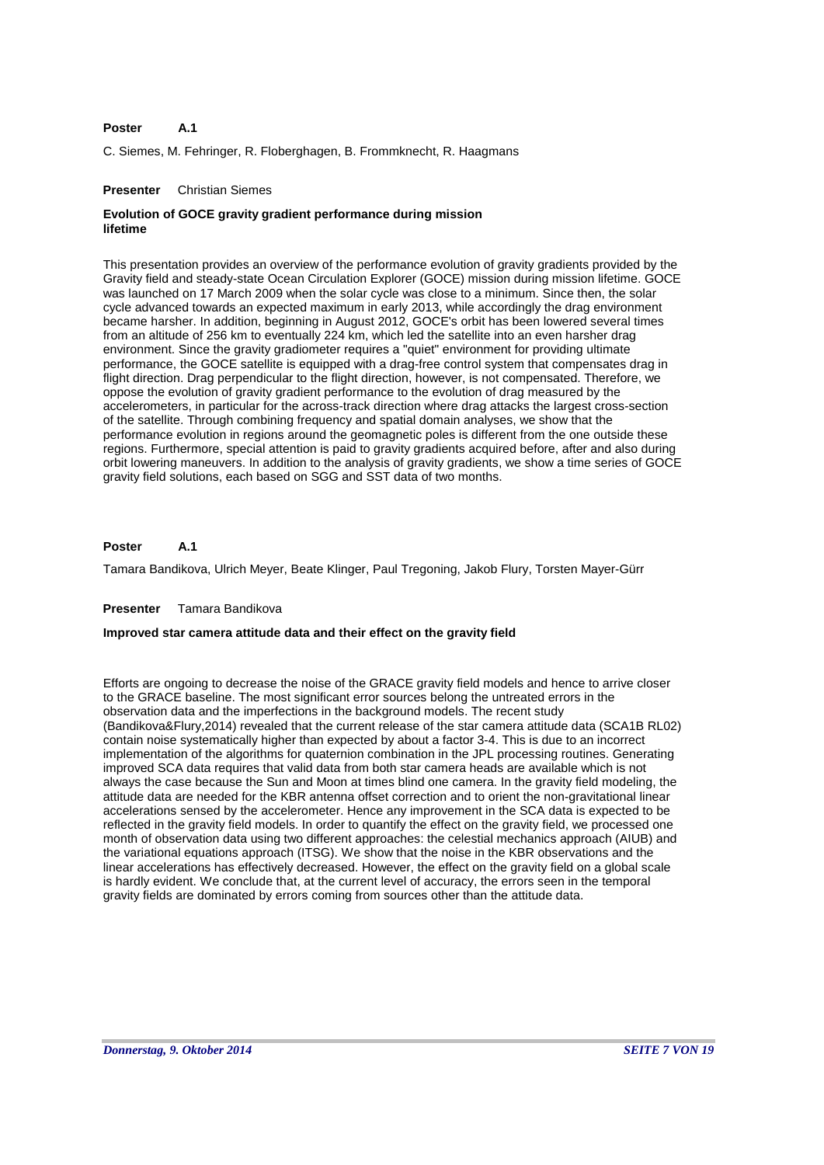#### **A.1 Poster**

C. Siemes, M. Fehringer, R. Floberghagen, B. Frommknecht, R. Haagmans

#### **Presenter** Christian Siemes

# **Evolution of GOCE gravity gradient performance during mission lifetime**

This presentation provides an overview of the performance evolution of gravity gradients provided by the Gravity field and steady-state Ocean Circulation Explorer (GOCE) mission during mission lifetime. GOCE was launched on 17 March 2009 when the solar cycle was close to a minimum. Since then, the solar cycle advanced towards an expected maximum in early 2013, while accordingly the drag environment became harsher. In addition, beginning in August 2012, GOCE's orbit has been lowered several times from an altitude of 256 km to eventually 224 km, which led the satellite into an even harsher drag environment. Since the gravity gradiometer requires a "quiet" environment for providing ultimate performance, the GOCE satellite is equipped with a drag-free control system that compensates drag in flight direction. Drag perpendicular to the flight direction, however, is not compensated. Therefore, we oppose the evolution of gravity gradient performance to the evolution of drag measured by the accelerometers, in particular for the across-track direction where drag attacks the largest cross-section of the satellite. Through combining frequency and spatial domain analyses, we show that the performance evolution in regions around the geomagnetic poles is different from the one outside these regions. Furthermore, special attention is paid to gravity gradients acquired before, after and also during orbit lowering maneuvers. In addition to the analysis of gravity gradients, we show a time series of GOCE gravity field solutions, each based on SGG and SST data of two months.

#### **A.1 Poster**

Tamara Bandikova, Ulrich Meyer, Beate Klinger, Paul Tregoning, Jakob Flury, Torsten Mayer-Gürr

#### **Presenter** Tamara Bandikova

#### **Improved star camera attitude data and their effect on the gravity field**

Efforts are ongoing to decrease the noise of the GRACE gravity field models and hence to arrive closer to the GRACE baseline. The most significant error sources belong the untreated errors in the observation data and the imperfections in the background models. The recent study (Bandikova&Flury,2014) revealed that the current release of the star camera attitude data (SCA1B RL02) contain noise systematically higher than expected by about a factor 3-4. This is due to an incorrect implementation of the algorithms for quaternion combination in the JPL processing routines. Generating improved SCA data requires that valid data from both star camera heads are available which is not always the case because the Sun and Moon at times blind one camera. In the gravity field modeling, the attitude data are needed for the KBR antenna offset correction and to orient the non-gravitational linear accelerations sensed by the accelerometer. Hence any improvement in the SCA data is expected to be reflected in the gravity field models. In order to quantify the effect on the gravity field, we processed one month of observation data using two different approaches: the celestial mechanics approach (AIUB) and the variational equations approach (ITSG). We show that the noise in the KBR observations and the linear accelerations has effectively decreased. However, the effect on the gravity field on a global scale is hardly evident. We conclude that, at the current level of accuracy, the errors seen in the temporal gravity fields are dominated by errors coming from sources other than the attitude data.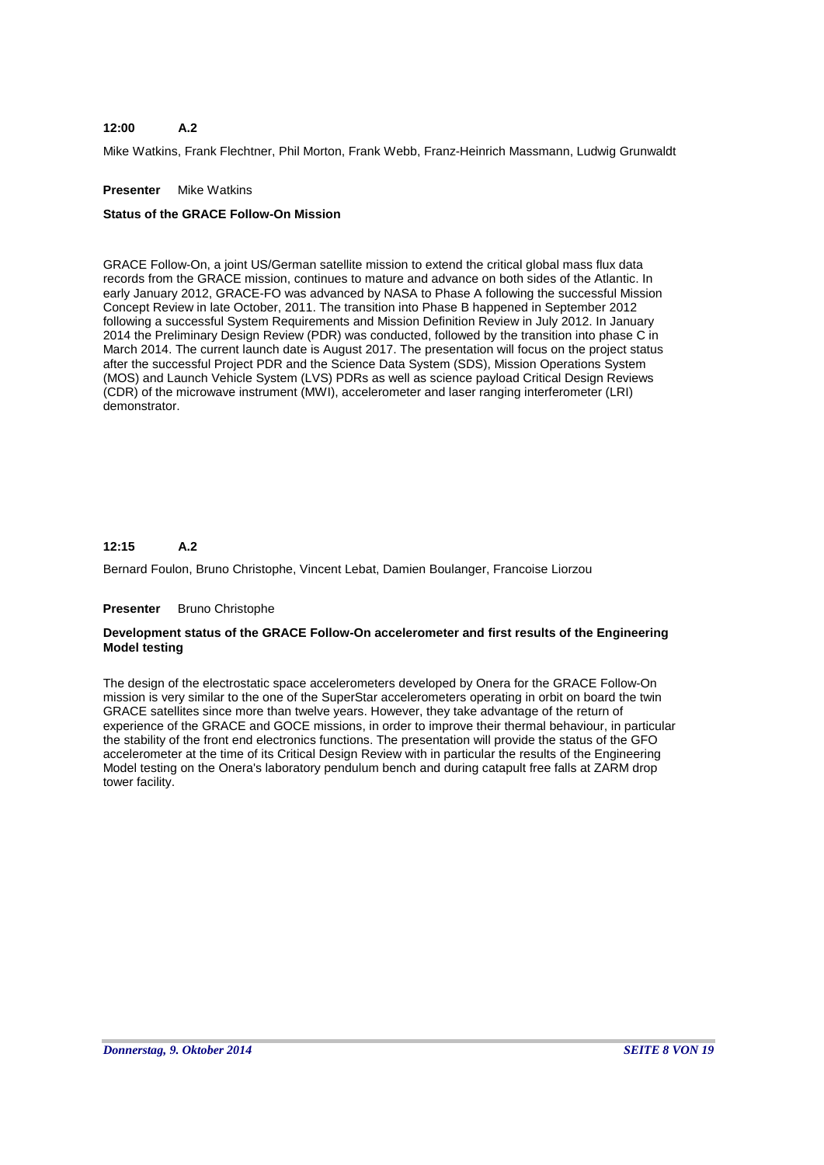#### **A.2 12:00**

Mike Watkins, Frank Flechtner, Phil Morton, Frank Webb, Franz-Heinrich Massmann, Ludwig Grunwaldt

### **Presenter** Mike Watkins

#### **Status of the GRACE Follow-On Mission**

GRACE Follow-On, a joint US/German satellite mission to extend the critical global mass flux data records from the GRACE mission, continues to mature and advance on both sides of the Atlantic. In early January 2012, GRACE-FO was advanced by NASA to Phase A following the successful Mission Concept Review in late October, 2011. The transition into Phase B happened in September 2012 following a successful System Requirements and Mission Definition Review in July 2012. In January 2014 the Preliminary Design Review (PDR) was conducted, followed by the transition into phase C in March 2014. The current launch date is August 2017. The presentation will focus on the project status after the successful Project PDR and the Science Data System (SDS), Mission Operations System (MOS) and Launch Vehicle System (LVS) PDRs as well as science payload Critical Design Reviews (CDR) of the microwave instrument (MWI), accelerometer and laser ranging interferometer (LRI) demonstrator.

#### **A.2 12:15**

Bernard Foulon, Bruno Christophe, Vincent Lebat, Damien Boulanger, Francoise Liorzou

#### **Presenter** Bruno Christophe

### **Development status of the GRACE Follow-On accelerometer and first results of the Engineering Model testing**

The design of the electrostatic space accelerometers developed by Onera for the GRACE Follow-On mission is very similar to the one of the SuperStar accelerometers operating in orbit on board the twin GRACE satellites since more than twelve years. However, they take advantage of the return of experience of the GRACE and GOCE missions, in order to improve their thermal behaviour, in particular the stability of the front end electronics functions. The presentation will provide the status of the GFO accelerometer at the time of its Critical Design Review with in particular the results of the Engineering Model testing on the Onera's laboratory pendulum bench and during catapult free falls at ZARM drop tower facility.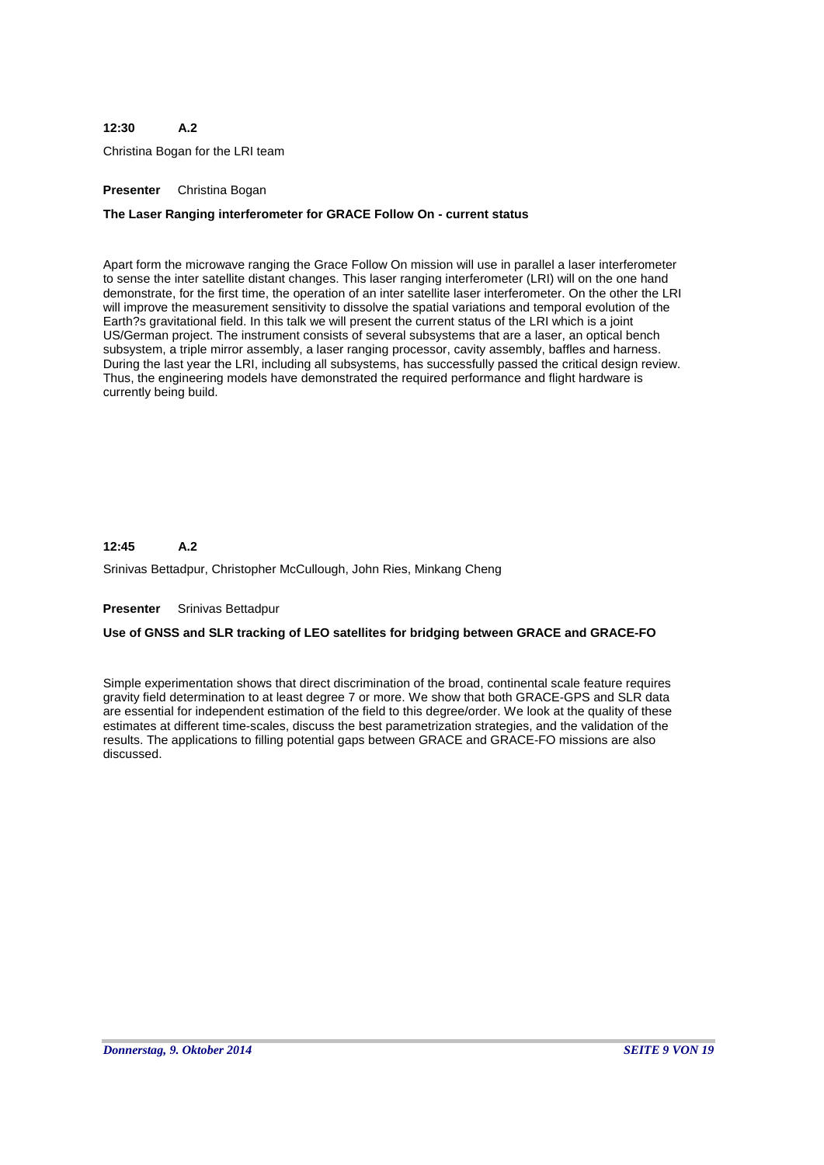#### **A.2 12:30**

Christina Bogan for the LRI team

### **Presenter** Christina Bogan

### **The Laser Ranging interferometer for GRACE Follow On - current status**

Apart form the microwave ranging the Grace Follow On mission will use in parallel a laser interferometer to sense the inter satellite distant changes. This laser ranging interferometer (LRI) will on the one hand demonstrate, for the first time, the operation of an inter satellite laser interferometer. On the other the LRI will improve the measurement sensitivity to dissolve the spatial variations and temporal evolution of the Earth?s gravitational field. In this talk we will present the current status of the LRI which is a joint US/German project. The instrument consists of several subsystems that are a laser, an optical bench subsystem, a triple mirror assembly, a laser ranging processor, cavity assembly, baffles and harness. During the last year the LRI, including all subsystems, has successfully passed the critical design review. Thus, the engineering models have demonstrated the required performance and flight hardware is currently being build.

#### **A.2 12:45**

Srinivas Bettadpur, Christopher McCullough, John Ries, Minkang Cheng

#### **Presenter** Srinivas Bettadpur

### **Use of GNSS and SLR tracking of LEO satellites for bridging between GRACE and GRACE-FO**

Simple experimentation shows that direct discrimination of the broad, continental scale feature requires gravity field determination to at least degree 7 or more. We show that both GRACE-GPS and SLR data are essential for independent estimation of the field to this degree/order. We look at the quality of these estimates at different time-scales, discuss the best parametrization strategies, and the validation of the results. The applications to filling potential gaps between GRACE and GRACE-FO missions are also discussed.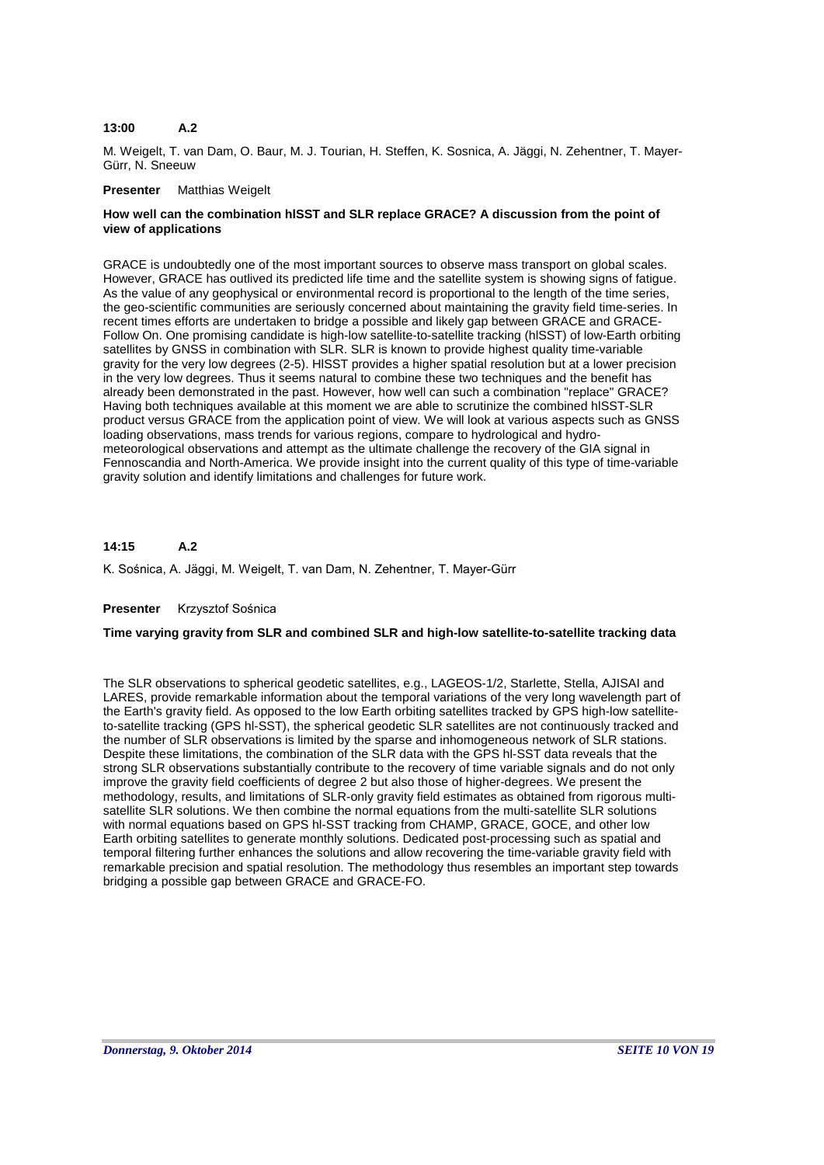#### **A.2 13:00**

M. Weigelt, T. van Dam, O. Baur, M. J. Tourian, H. Steffen, K. Sosnica, A. Jäggi, N. Zehentner, T. Mayer-Gürr, N. Sneeuw

### **Presenter** Matthias Weigelt

# **How well can the combination hlSST and SLR replace GRACE? A discussion from the point of view of applications**

GRACE is undoubtedly one of the most important sources to observe mass transport on global scales. However, GRACE has outlived its predicted life time and the satellite system is showing signs of fatigue. As the value of any geophysical or environmental record is proportional to the length of the time series, the geo-scientific communities are seriously concerned about maintaining the gravity field time-series. In recent times efforts are undertaken to bridge a possible and likely gap between GRACE and GRACE-Follow On. One promising candidate is high-low satellite-to-satellite tracking (hlSST) of low-Earth orbiting satellites by GNSS in combination with SLR. SLR is known to provide highest quality time-variable gravity for the very low degrees (2-5). HlSST provides a higher spatial resolution but at a lower precision in the very low degrees. Thus it seems natural to combine these two techniques and the benefit has already been demonstrated in the past. However, how well can such a combination "replace" GRACE? Having both techniques available at this moment we are able to scrutinize the combined hlSST-SLR product versus GRACE from the application point of view. We will look at various aspects such as GNSS loading observations, mass trends for various regions, compare to hydrological and hydrometeorological observations and attempt as the ultimate challenge the recovery of the GIA signal in Fennoscandia and North-America. We provide insight into the current quality of this type of time-variable gravity solution and identify limitations and challenges for future work.

#### **A.2 14:15**

K. Sośnica, A. Jäggi, M. Weigelt, T. van Dam, N. Zehentner, T. Mayer-Gürr

### **Presenter** Krzysztof Sośnica

### **Time varying gravity from SLR and combined SLR and high-low satellite-to-satellite tracking data**

The SLR observations to spherical geodetic satellites, e.g., LAGEOS-1/2, Starlette, Stella, AJISAI and LARES, provide remarkable information about the temporal variations of the very long wavelength part of the Earth's gravity field. As opposed to the low Earth orbiting satellites tracked by GPS high-low satelliteto-satellite tracking (GPS hl-SST), the spherical geodetic SLR satellites are not continuously tracked and the number of SLR observations is limited by the sparse and inhomogeneous network of SLR stations. Despite these limitations, the combination of the SLR data with the GPS hl-SST data reveals that the strong SLR observations substantially contribute to the recovery of time variable signals and do not only improve the gravity field coefficients of degree 2 but also those of higher-degrees. We present the methodology, results, and limitations of SLR-only gravity field estimates as obtained from rigorous multisatellite SLR solutions. We then combine the normal equations from the multi-satellite SLR solutions with normal equations based on GPS hl-SST tracking from CHAMP, GRACE, GOCE, and other low Earth orbiting satellites to generate monthly solutions. Dedicated post-processing such as spatial and temporal filtering further enhances the solutions and allow recovering the time-variable gravity field with remarkable precision and spatial resolution. The methodology thus resembles an important step towards bridging a possible gap between GRACE and GRACE-FO.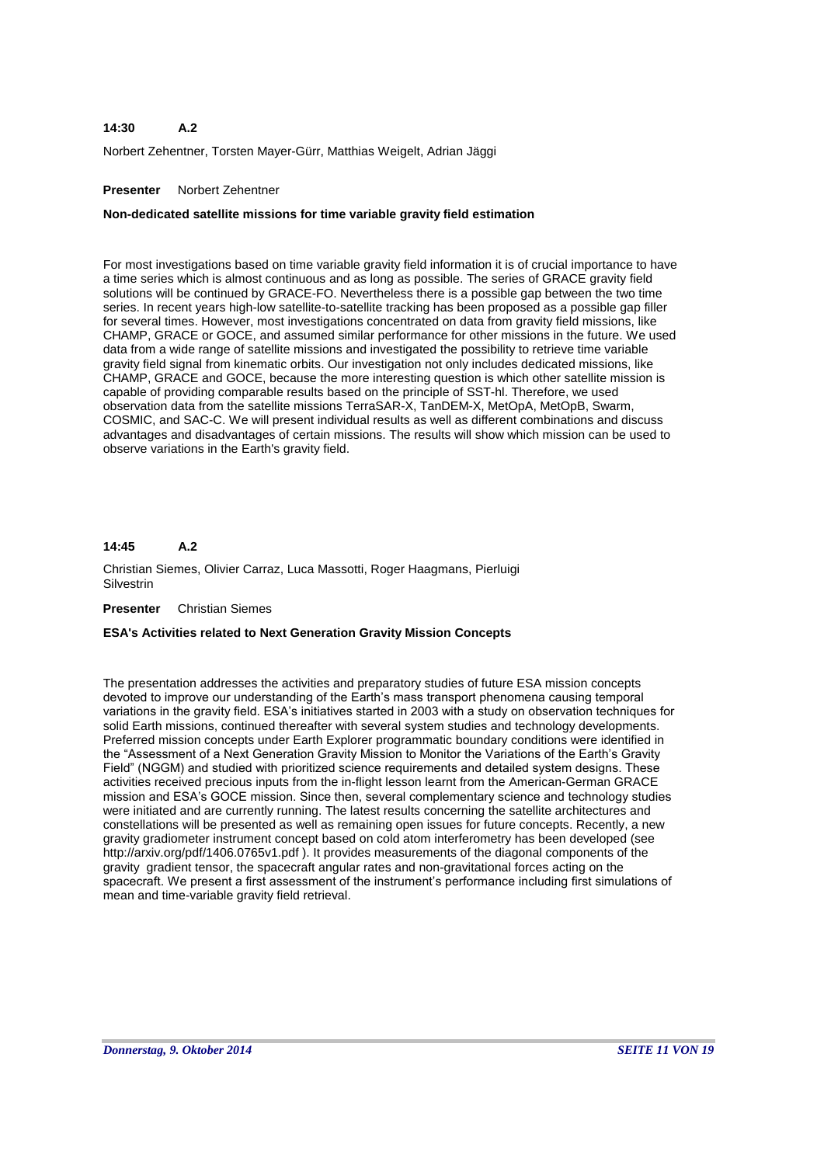#### **A.2 14:30**

Norbert Zehentner, Torsten Mayer-Gürr, Matthias Weigelt, Adrian Jäggi

### **Presenter** Norbert Zehentner

### **Non-dedicated satellite missions for time variable gravity field estimation**

For most investigations based on time variable gravity field information it is of crucial importance to have a time series which is almost continuous and as long as possible. The series of GRACE gravity field solutions will be continued by GRACE-FO. Nevertheless there is a possible gap between the two time series. In recent years high-low satellite-to-satellite tracking has been proposed as a possible gap filler for several times. However, most investigations concentrated on data from gravity field missions, like CHAMP, GRACE or GOCE, and assumed similar performance for other missions in the future. We used data from a wide range of satellite missions and investigated the possibility to retrieve time variable gravity field signal from kinematic orbits. Our investigation not only includes dedicated missions, like CHAMP, GRACE and GOCE, because the more interesting question is which other satellite mission is capable of providing comparable results based on the principle of SST-hl. Therefore, we used observation data from the satellite missions TerraSAR-X, TanDEM-X, MetOpA, MetOpB, Swarm, COSMIC, and SAC-C. We will present individual results as well as different combinations and discuss advantages and disadvantages of certain missions. The results will show which mission can be used to observe variations in the Earth's gravity field.

#### **A.2 14:45**

Christian Siemes, Olivier Carraz, Luca Massotti, Roger Haagmans, Pierluigi **Silvestrin** 

#### **Presenter** Christian Siemes

### **ESA's Activities related to Next Generation Gravity Mission Concepts**

The presentation addresses the activities and preparatory studies of future ESA mission concepts devoted to improve our understanding of the Earth's mass transport phenomena causing temporal variations in the gravity field. ESA's initiatives started in 2003 with a study on observation techniques for solid Earth missions, continued thereafter with several system studies and technology developments. Preferred mission concepts under Earth Explorer programmatic boundary conditions were identified in the "Assessment of a Next Generation Gravity Mission to Monitor the Variations of the Earth's Gravity Field" (NGGM) and studied with prioritized science requirements and detailed system designs. These activities received precious inputs from the in-flight lesson learnt from the American-German GRACE mission and ESA's GOCE mission. Since then, several complementary science and technology studies were initiated and are currently running. The latest results concerning the satellite architectures and constellations will be presented as well as remaining open issues for future concepts. Recently, a new gravity gradiometer instrument concept based on cold atom interferometry has been developed (see http://arxiv.org/pdf/1406.0765v1.pdf ). It provides measurements of the diagonal components of the gravity gradient tensor, the spacecraft angular rates and non-gravitational forces acting on the spacecraft. We present a first assessment of the instrument's performance including first simulations of mean and time-variable gravity field retrieval.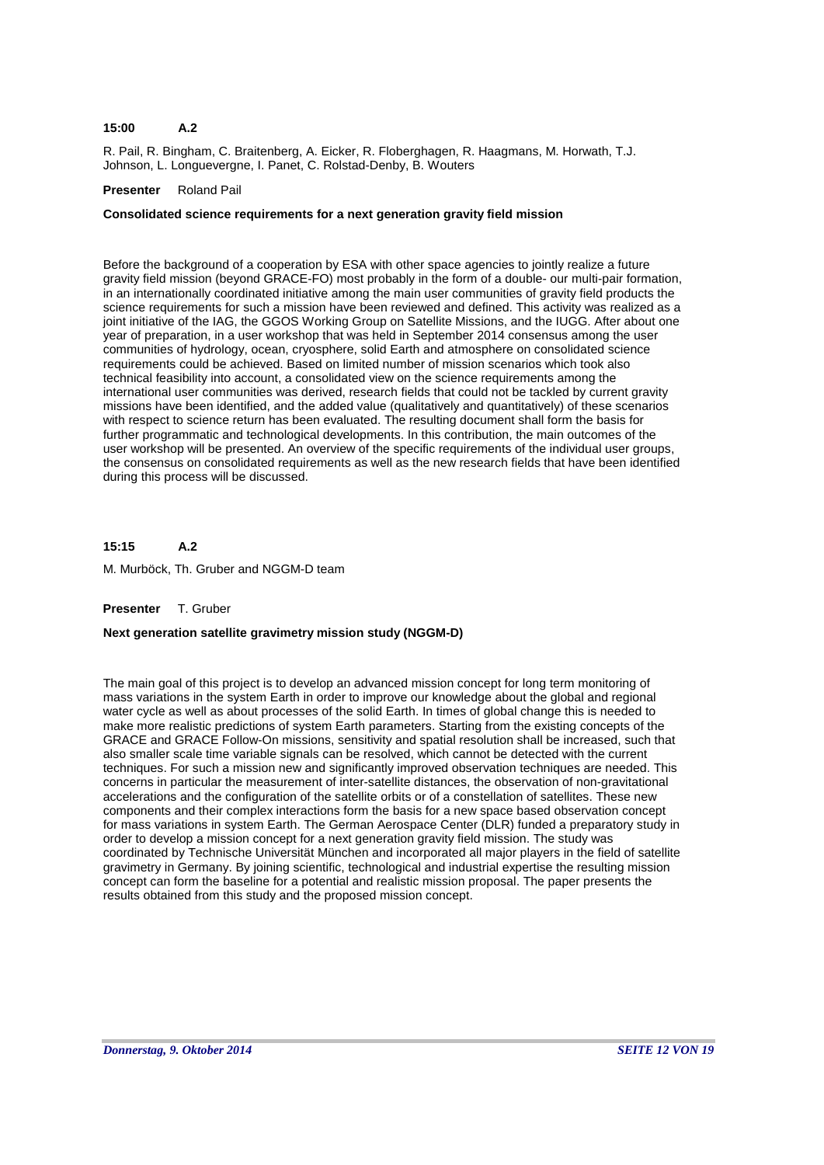#### **A.2 15:00**

R. Pail, R. Bingham, C. Braitenberg, A. Eicker, R. Floberghagen, R. Haagmans, M. Horwath, T.J. Johnson, L. Longuevergne, I. Panet, C. Rolstad-Denby, B. Wouters

# **Presenter** Roland Pail

# **Consolidated science requirements for a next generation gravity field mission**

Before the background of a cooperation by ESA with other space agencies to jointly realize a future gravity field mission (beyond GRACE-FO) most probably in the form of a double- our multi-pair formation, in an internationally coordinated initiative among the main user communities of gravity field products the science requirements for such a mission have been reviewed and defined. This activity was realized as a joint initiative of the IAG, the GGOS Working Group on Satellite Missions, and the IUGG. After about one year of preparation, in a user workshop that was held in September 2014 consensus among the user communities of hydrology, ocean, cryosphere, solid Earth and atmosphere on consolidated science requirements could be achieved. Based on limited number of mission scenarios which took also technical feasibility into account, a consolidated view on the science requirements among the international user communities was derived, research fields that could not be tackled by current gravity missions have been identified, and the added value (qualitatively and quantitatively) of these scenarios with respect to science return has been evaluated. The resulting document shall form the basis for further programmatic and technological developments. In this contribution, the main outcomes of the user workshop will be presented. An overview of the specific requirements of the individual user groups, the consensus on consolidated requirements as well as the new research fields that have been identified during this process will be discussed.

#### **A.2 15:15**

M. Murböck, Th. Gruber and NGGM-D team

### **Presenter** T. Gruber

### **Next generation satellite gravimetry mission study (NGGM-D)**

The main goal of this project is to develop an advanced mission concept for long term monitoring of mass variations in the system Earth in order to improve our knowledge about the global and regional water cycle as well as about processes of the solid Earth. In times of global change this is needed to make more realistic predictions of system Earth parameters. Starting from the existing concepts of the GRACE and GRACE Follow-On missions, sensitivity and spatial resolution shall be increased, such that also smaller scale time variable signals can be resolved, which cannot be detected with the current techniques. For such a mission new and significantly improved observation techniques are needed. This concerns in particular the measurement of inter-satellite distances, the observation of non-gravitational accelerations and the configuration of the satellite orbits or of a constellation of satellites. These new components and their complex interactions form the basis for a new space based observation concept for mass variations in system Earth. The German Aerospace Center (DLR) funded a preparatory study in order to develop a mission concept for a next generation gravity field mission. The study was coordinated by Technische Universität München and incorporated all major players in the field of satellite gravimetry in Germany. By joining scientific, technological and industrial expertise the resulting mission concept can form the baseline for a potential and realistic mission proposal. The paper presents the results obtained from this study and the proposed mission concept.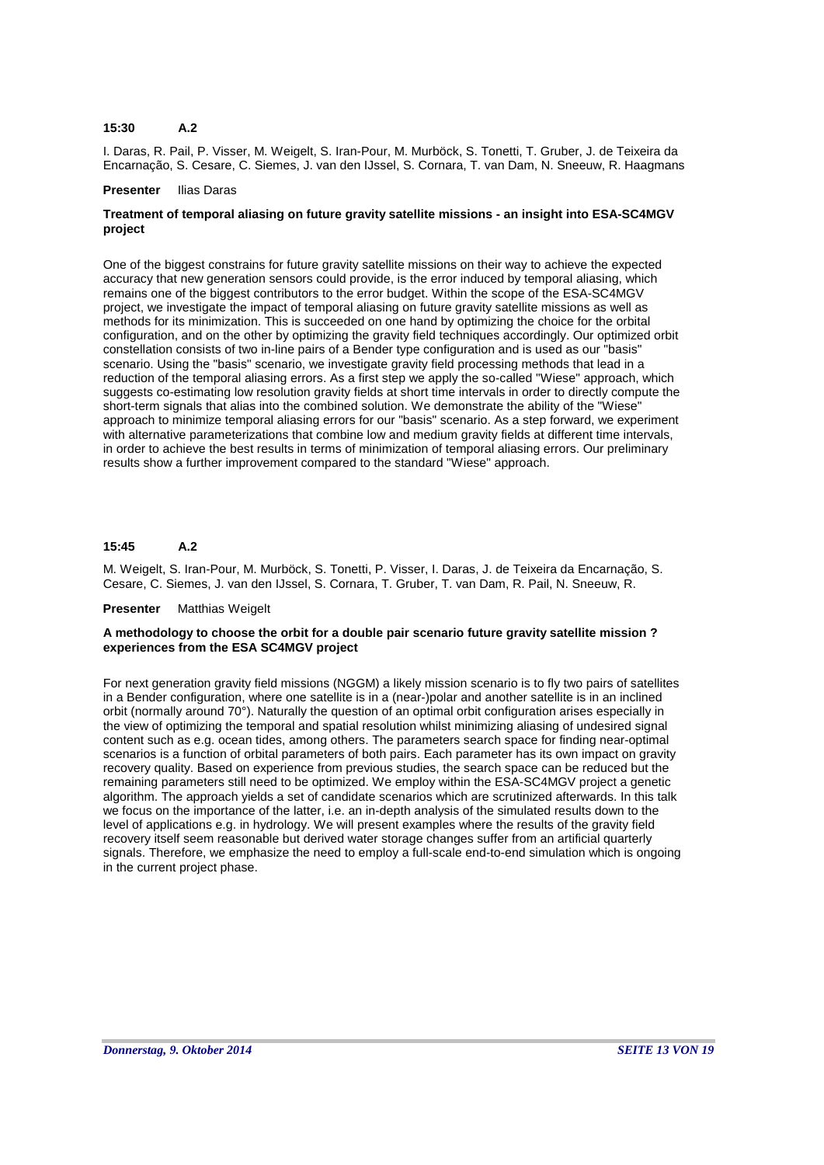#### **A.2 15:30**

I. Daras, R. Pail, P. Visser, M. Weigelt, S. Iran-Pour, M. Murböck, S. Tonetti, T. Gruber, J. de Teixeira da Encarnação, S. Cesare, C. Siemes, J. van den IJssel, S. Cornara, T. van Dam, N. Sneeuw, R. Haagmans

#### **Presenter** Ilias Daras

# **Treatment of temporal aliasing on future gravity satellite missions - an insight into ESA-SC4MGV project**

One of the biggest constrains for future gravity satellite missions on their way to achieve the expected accuracy that new generation sensors could provide, is the error induced by temporal aliasing, which remains one of the biggest contributors to the error budget. Within the scope of the ESA-SC4MGV project, we investigate the impact of temporal aliasing on future gravity satellite missions as well as methods for its minimization. This is succeeded on one hand by optimizing the choice for the orbital configuration, and on the other by optimizing the gravity field techniques accordingly. Our optimized orbit constellation consists of two in-line pairs of a Bender type configuration and is used as our "basis" scenario. Using the "basis" scenario, we investigate gravity field processing methods that lead in a reduction of the temporal aliasing errors. As a first step we apply the so-called "Wiese" approach, which suggests co-estimating low resolution gravity fields at short time intervals in order to directly compute the short-term signals that alias into the combined solution. We demonstrate the ability of the "Wiese" approach to minimize temporal aliasing errors for our "basis" scenario. As a step forward, we experiment with alternative parameterizations that combine low and medium gravity fields at different time intervals, in order to achieve the best results in terms of minimization of temporal aliasing errors. Our preliminary results show a further improvement compared to the standard "Wiese" approach.

#### **A.2 15:45**

M. Weigelt, S. Iran-Pour, M. Murböck, S. Tonetti, P. Visser, I. Daras, J. de Teixeira da Encarnação, S. Cesare, C. Siemes, J. van den IJssel, S. Cornara, T. Gruber, T. van Dam, R. Pail, N. Sneeuw, R.

### **Presenter** Matthias Weigelt

### **A methodology to choose the orbit for a double pair scenario future gravity satellite mission ? experiences from the ESA SC4MGV project**

For next generation gravity field missions (NGGM) a likely mission scenario is to fly two pairs of satellites in a Bender configuration, where one satellite is in a (near-)polar and another satellite is in an inclined orbit (normally around 70°). Naturally the question of an optimal orbit configuration arises especially in the view of optimizing the temporal and spatial resolution whilst minimizing aliasing of undesired signal content such as e.g. ocean tides, among others. The parameters search space for finding near-optimal scenarios is a function of orbital parameters of both pairs. Each parameter has its own impact on gravity recovery quality. Based on experience from previous studies, the search space can be reduced but the remaining parameters still need to be optimized. We employ within the ESA-SC4MGV project a genetic algorithm. The approach yields a set of candidate scenarios which are scrutinized afterwards. In this talk we focus on the importance of the latter, i.e. an in-depth analysis of the simulated results down to the level of applications e.g. in hydrology. We will present examples where the results of the gravity field recovery itself seem reasonable but derived water storage changes suffer from an artificial quarterly signals. Therefore, we emphasize the need to employ a full-scale end-to-end simulation which is ongoing in the current project phase.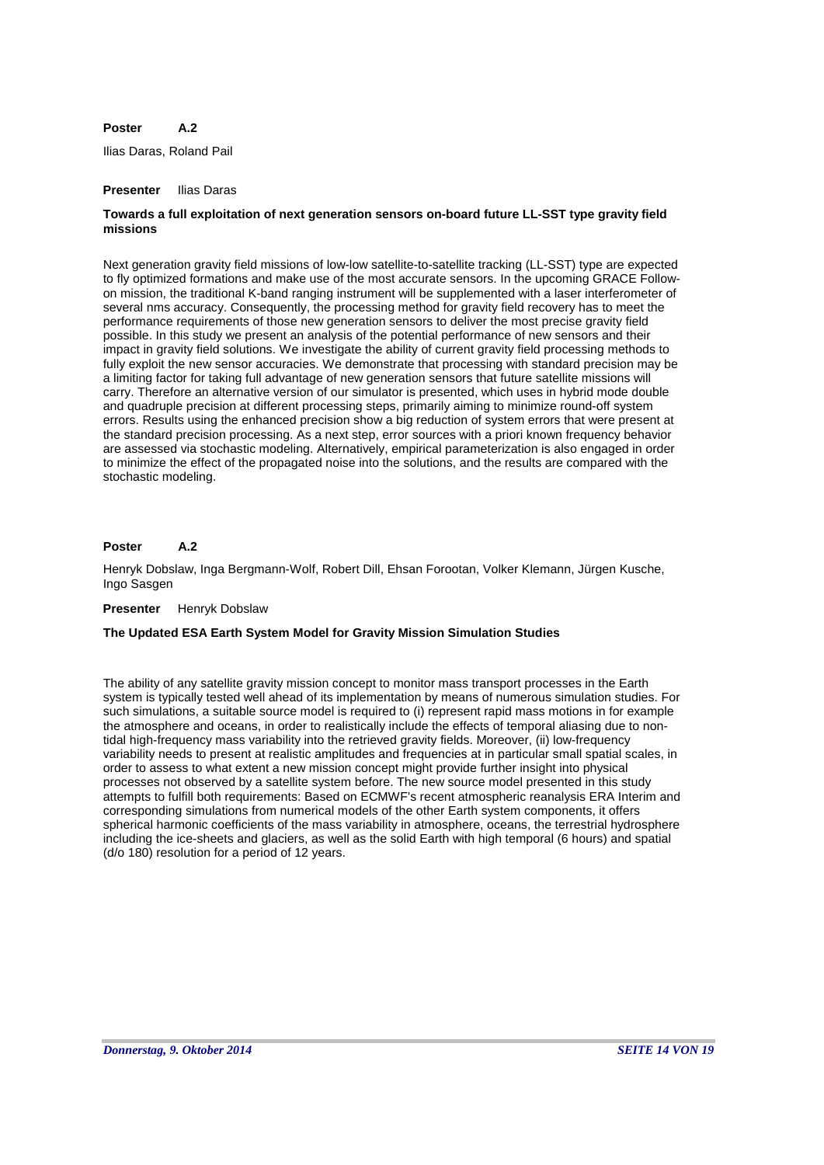#### **A.2 Poster**

Ilias Daras, Roland Pail

#### **Presenter** Ilias Daras

# **Towards a full exploitation of next generation sensors on-board future LL-SST type gravity field missions**

Next generation gravity field missions of low-low satellite-to-satellite tracking (LL-SST) type are expected to fly optimized formations and make use of the most accurate sensors. In the upcoming GRACE Followon mission, the traditional K-band ranging instrument will be supplemented with a laser interferometer of several nms accuracy. Consequently, the processing method for gravity field recovery has to meet the performance requirements of those new generation sensors to deliver the most precise gravity field possible. In this study we present an analysis of the potential performance of new sensors and their impact in gravity field solutions. We investigate the ability of current gravity field processing methods to fully exploit the new sensor accuracies. We demonstrate that processing with standard precision may be a limiting factor for taking full advantage of new generation sensors that future satellite missions will carry. Therefore an alternative version of our simulator is presented, which uses in hybrid mode double and quadruple precision at different processing steps, primarily aiming to minimize round-off system errors. Results using the enhanced precision show a big reduction of system errors that were present at the standard precision processing. As a next step, error sources with a priori known frequency behavior are assessed via stochastic modeling. Alternatively, empirical parameterization is also engaged in order to minimize the effect of the propagated noise into the solutions, and the results are compared with the stochastic modeling.

#### **A.2 Poster**

Henryk Dobslaw, Inga Bergmann-Wolf, Robert Dill, Ehsan Forootan, Volker Klemann, Jürgen Kusche, Ingo Sasgen

#### **Presenter** Henryk Dobslaw

#### **The Updated ESA Earth System Model for Gravity Mission Simulation Studies**

The ability of any satellite gravity mission concept to monitor mass transport processes in the Earth system is typically tested well ahead of its implementation by means of numerous simulation studies. For such simulations, a suitable source model is required to (i) represent rapid mass motions in for example the atmosphere and oceans, in order to realistically include the effects of temporal aliasing due to nontidal high-frequency mass variability into the retrieved gravity fields. Moreover, (ii) low-frequency variability needs to present at realistic amplitudes and frequencies at in particular small spatial scales, in order to assess to what extent a new mission concept might provide further insight into physical processes not observed by a satellite system before. The new source model presented in this study attempts to fulfill both requirements: Based on ECMWF's recent atmospheric reanalysis ERA Interim and corresponding simulations from numerical models of the other Earth system components, it offers spherical harmonic coefficients of the mass variability in atmosphere, oceans, the terrestrial hydrosphere including the ice-sheets and glaciers, as well as the solid Earth with high temporal (6 hours) and spatial (d/o 180) resolution for a period of 12 years.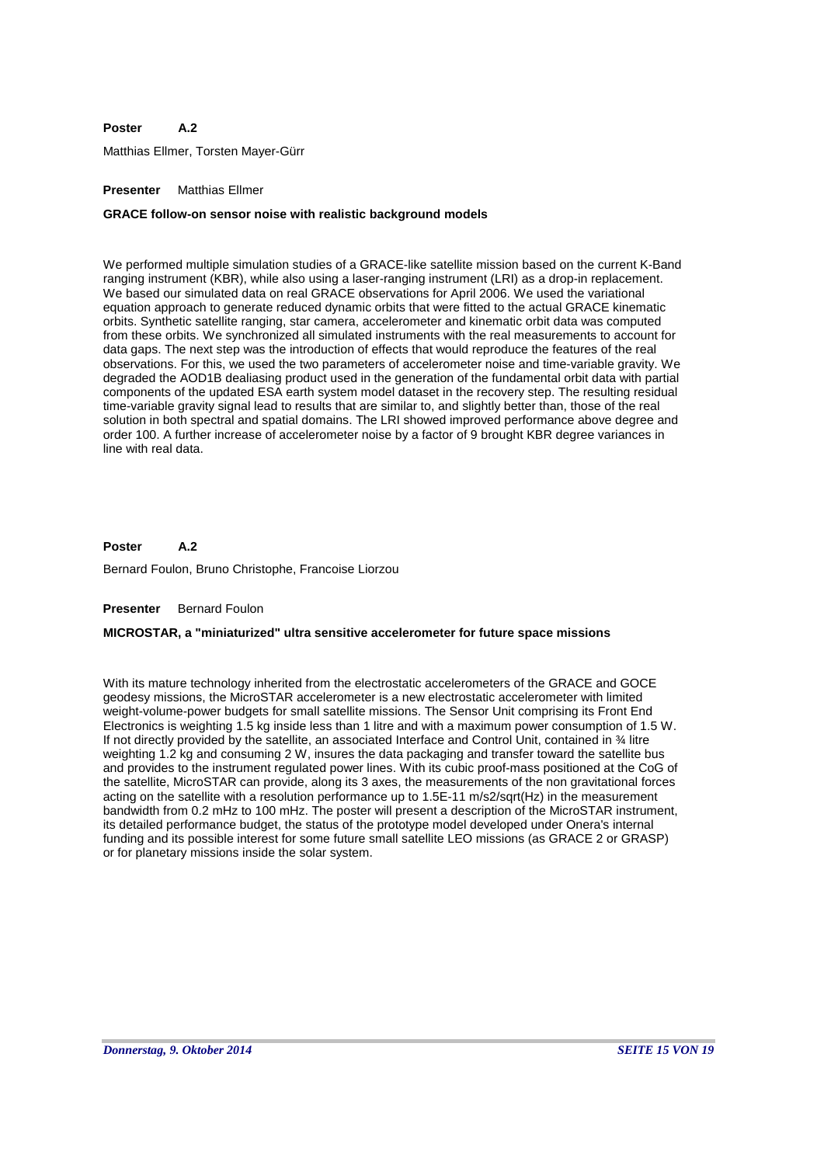#### **A.2 Poster**

Matthias Ellmer, Torsten Mayer-Gürr

### **Presenter** Matthias Ellmer

#### **GRACE follow-on sensor noise with realistic background models**

We performed multiple simulation studies of a GRACE-like satellite mission based on the current K-Band ranging instrument (KBR), while also using a laser-ranging instrument (LRI) as a drop-in replacement. We based our simulated data on real GRACE observations for April 2006. We used the variational equation approach to generate reduced dynamic orbits that were fitted to the actual GRACE kinematic orbits. Synthetic satellite ranging, star camera, accelerometer and kinematic orbit data was computed from these orbits. We synchronized all simulated instruments with the real measurements to account for data gaps. The next step was the introduction of effects that would reproduce the features of the real observations. For this, we used the two parameters of accelerometer noise and time-variable gravity. We degraded the AOD1B dealiasing product used in the generation of the fundamental orbit data with partial components of the updated ESA earth system model dataset in the recovery step. The resulting residual time-variable gravity signal lead to results that are similar to, and slightly better than, those of the real solution in both spectral and spatial domains. The LRI showed improved performance above degree and order 100. A further increase of accelerometer noise by a factor of 9 brought KBR degree variances in line with real data.

#### **A.2 Poster**

Bernard Foulon, Bruno Christophe, Francoise Liorzou

#### **Presenter** Bernard Foulon

#### **MICROSTAR, a "miniaturized" ultra sensitive accelerometer for future space missions**

With its mature technology inherited from the electrostatic accelerometers of the GRACE and GOCE geodesy missions, the MicroSTAR accelerometer is a new electrostatic accelerometer with limited weight-volume-power budgets for small satellite missions. The Sensor Unit comprising its Front End Electronics is weighting 1.5 kg inside less than 1 litre and with a maximum power consumption of 1.5 W. If not directly provided by the satellite, an associated Interface and Control Unit, contained in ¾ litre weighting 1.2 kg and consuming 2 W, insures the data packaging and transfer toward the satellite bus and provides to the instrument regulated power lines. With its cubic proof-mass positioned at the CoG of the satellite, MicroSTAR can provide, along its 3 axes, the measurements of the non gravitational forces acting on the satellite with a resolution performance up to 1.5E-11 m/s2/sqrt(Hz) in the measurement bandwidth from 0.2 mHz to 100 mHz. The poster will present a description of the MicroSTAR instrument, its detailed performance budget, the status of the prototype model developed under Onera's internal funding and its possible interest for some future small satellite LEO missions (as GRACE 2 or GRASP) or for planetary missions inside the solar system.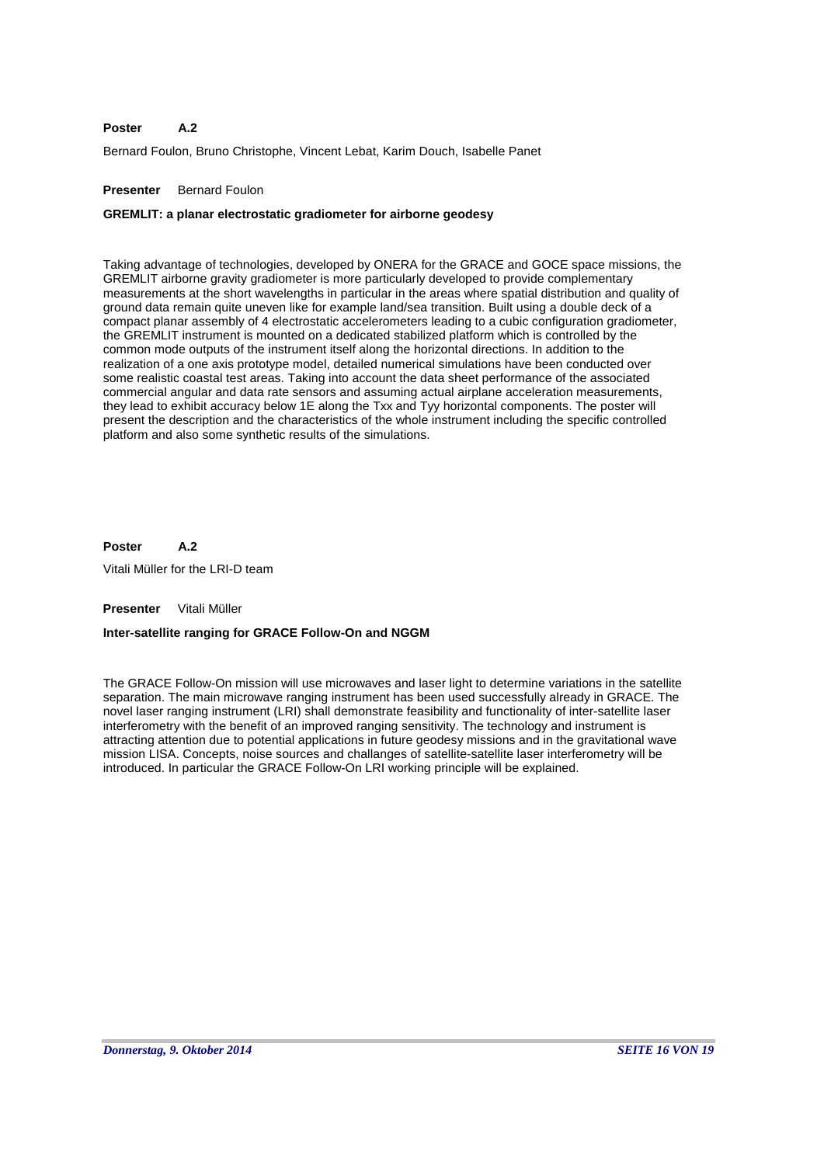#### **A.2 Poster**

Bernard Foulon, Bruno Christophe, Vincent Lebat, Karim Douch, Isabelle Panet

### **Presenter** Bernard Foulon

### **GREMLIT: a planar electrostatic gradiometer for airborne geodesy**

Taking advantage of technologies, developed by ONERA for the GRACE and GOCE space missions, the GREMLIT airborne gravity gradiometer is more particularly developed to provide complementary measurements at the short wavelengths in particular in the areas where spatial distribution and quality of ground data remain quite uneven like for example land/sea transition. Built using a double deck of a compact planar assembly of 4 electrostatic accelerometers leading to a cubic configuration gradiometer, the GREMLIT instrument is mounted on a dedicated stabilized platform which is controlled by the common mode outputs of the instrument itself along the horizontal directions. In addition to the realization of a one axis prototype model, detailed numerical simulations have been conducted over some realistic coastal test areas. Taking into account the data sheet performance of the associated commercial angular and data rate sensors and assuming actual airplane acceleration measurements, they lead to exhibit accuracy below 1E along the Txx and Tyy horizontal components. The poster will present the description and the characteristics of the whole instrument including the specific controlled platform and also some synthetic results of the simulations.

#### **A.2 Poster**

Vitali Müller for the LRI-D team

### **Presenter** Vitali Müller

### **Inter-satellite ranging for GRACE Follow-On and NGGM**

The GRACE Follow-On mission will use microwaves and laser light to determine variations in the satellite separation. The main microwave ranging instrument has been used successfully already in GRACE. The novel laser ranging instrument (LRI) shall demonstrate feasibility and functionality of inter-satellite laser interferometry with the benefit of an improved ranging sensitivity. The technology and instrument is attracting attention due to potential applications in future geodesy missions and in the gravitational wave mission LISA. Concepts, noise sources and challanges of satellite-satellite laser interferometry will be introduced. In particular the GRACE Follow-On LRI working principle will be explained.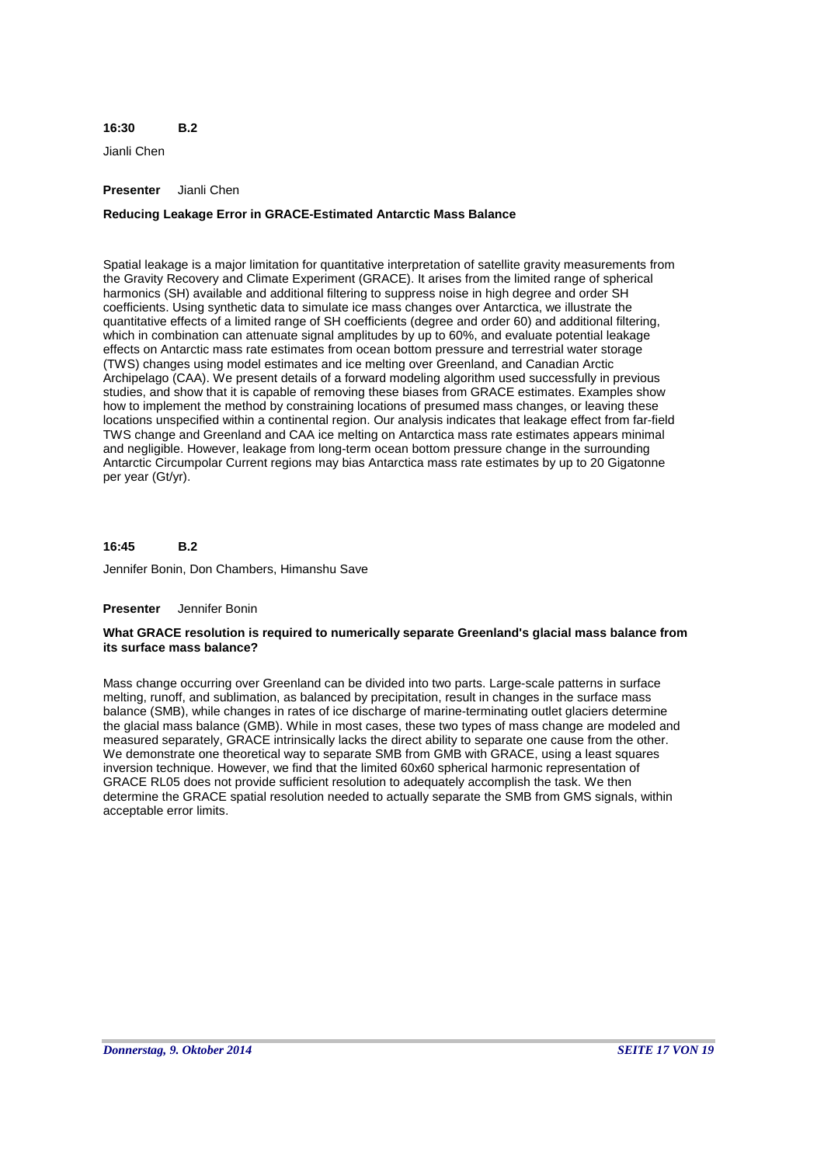#### **B.2 16:30**

Jianli Chen

### **Presenter** Jianli Chen

# **Reducing Leakage Error in GRACE-Estimated Antarctic Mass Balance**

Spatial leakage is a major limitation for quantitative interpretation of satellite gravity measurements from the Gravity Recovery and Climate Experiment (GRACE). It arises from the limited range of spherical harmonics (SH) available and additional filtering to suppress noise in high degree and order SH coefficients. Using synthetic data to simulate ice mass changes over Antarctica, we illustrate the quantitative effects of a limited range of SH coefficients (degree and order 60) and additional filtering, which in combination can attenuate signal amplitudes by up to 60%, and evaluate potential leakage effects on Antarctic mass rate estimates from ocean bottom pressure and terrestrial water storage (TWS) changes using model estimates and ice melting over Greenland, and Canadian Arctic Archipelago (CAA). We present details of a forward modeling algorithm used successfully in previous studies, and show that it is capable of removing these biases from GRACE estimates. Examples show how to implement the method by constraining locations of presumed mass changes, or leaving these locations unspecified within a continental region. Our analysis indicates that leakage effect from far-field TWS change and Greenland and CAA ice melting on Antarctica mass rate estimates appears minimal and negligible. However, leakage from long-term ocean bottom pressure change in the surrounding Antarctic Circumpolar Current regions may bias Antarctica mass rate estimates by up to 20 Gigatonne per year (Gt/yr).

#### **B.2 16:45**

Jennifer Bonin, Don Chambers, Himanshu Save

### **Presenter** Jennifer Bonin

### **What GRACE resolution is required to numerically separate Greenland's glacial mass balance from its surface mass balance?**

Mass change occurring over Greenland can be divided into two parts. Large-scale patterns in surface melting, runoff, and sublimation, as balanced by precipitation, result in changes in the surface mass balance (SMB), while changes in rates of ice discharge of marine-terminating outlet glaciers determine the glacial mass balance (GMB). While in most cases, these two types of mass change are modeled and measured separately, GRACE intrinsically lacks the direct ability to separate one cause from the other. We demonstrate one theoretical way to separate SMB from GMB with GRACE, using a least squares inversion technique. However, we find that the limited 60x60 spherical harmonic representation of GRACE RL05 does not provide sufficient resolution to adequately accomplish the task. We then determine the GRACE spatial resolution needed to actually separate the SMB from GMS signals, within acceptable error limits.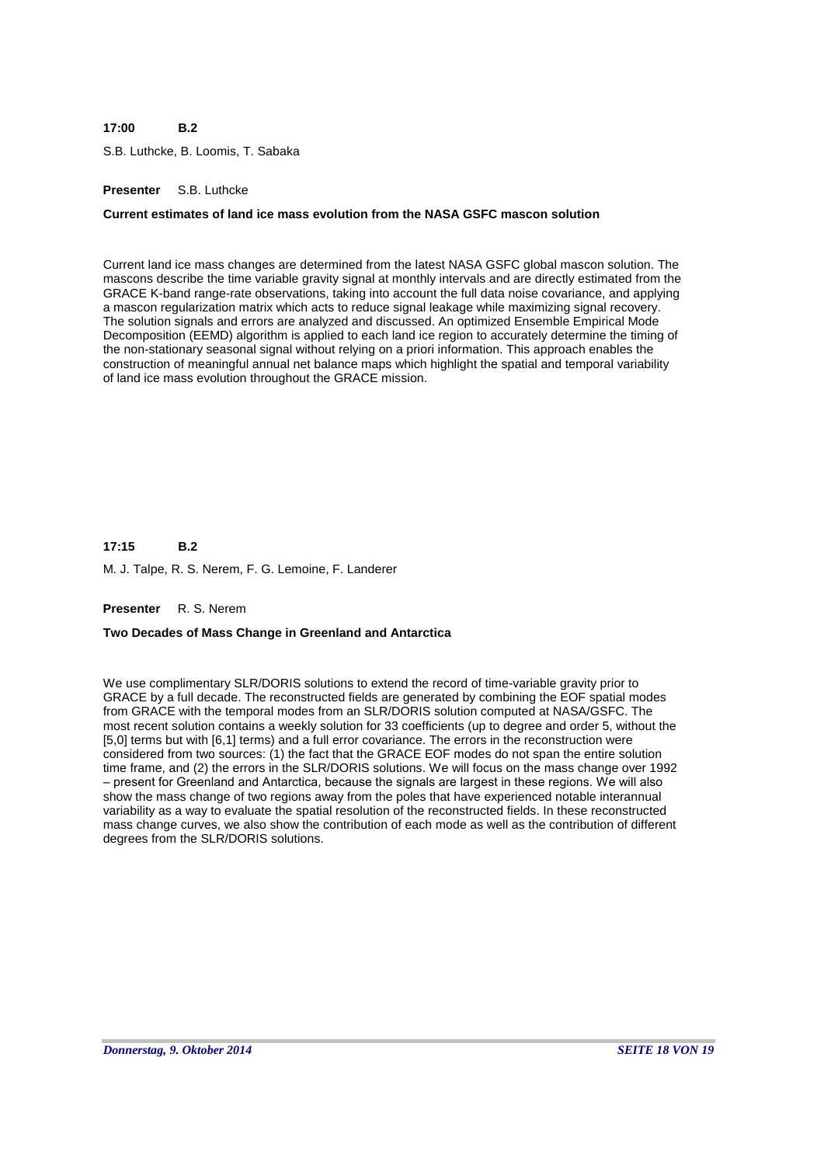#### **B.2 17:00**

S.B. Luthcke, B. Loomis, T. Sabaka

### **Presenter** S.B. Luthcke

### **Current estimates of land ice mass evolution from the NASA GSFC mascon solution**

Current land ice mass changes are determined from the latest NASA GSFC global mascon solution. The mascons describe the time variable gravity signal at monthly intervals and are directly estimated from the GRACE K-band range-rate observations, taking into account the full data noise covariance, and applying a mascon regularization matrix which acts to reduce signal leakage while maximizing signal recovery. The solution signals and errors are analyzed and discussed. An optimized Ensemble Empirical Mode Decomposition (EEMD) algorithm is applied to each land ice region to accurately determine the timing of the non-stationary seasonal signal without relying on a priori information. This approach enables the construction of meaningful annual net balance maps which highlight the spatial and temporal variability of land ice mass evolution throughout the GRACE mission.

**B.2** M. J. Talpe, R. S. Nerem, F. G. Lemoine, F. Landerer **17:15**

### **Presenter** R. S. Nerem

### **Two Decades of Mass Change in Greenland and Antarctica**

We use complimentary SLR/DORIS solutions to extend the record of time-variable gravity prior to GRACE by a full decade. The reconstructed fields are generated by combining the EOF spatial modes from GRACE with the temporal modes from an SLR/DORIS solution computed at NASA/GSFC. The most recent solution contains a weekly solution for 33 coefficients (up to degree and order 5, without the [5,0] terms but with [6,1] terms) and a full error covariance. The errors in the reconstruction were considered from two sources: (1) the fact that the GRACE EOF modes do not span the entire solution time frame, and (2) the errors in the SLR/DORIS solutions. We will focus on the mass change over 1992 – present for Greenland and Antarctica, because the signals are largest in these regions. We will also show the mass change of two regions away from the poles that have experienced notable interannual variability as a way to evaluate the spatial resolution of the reconstructed fields. In these reconstructed mass change curves, we also show the contribution of each mode as well as the contribution of different degrees from the SLR/DORIS solutions.